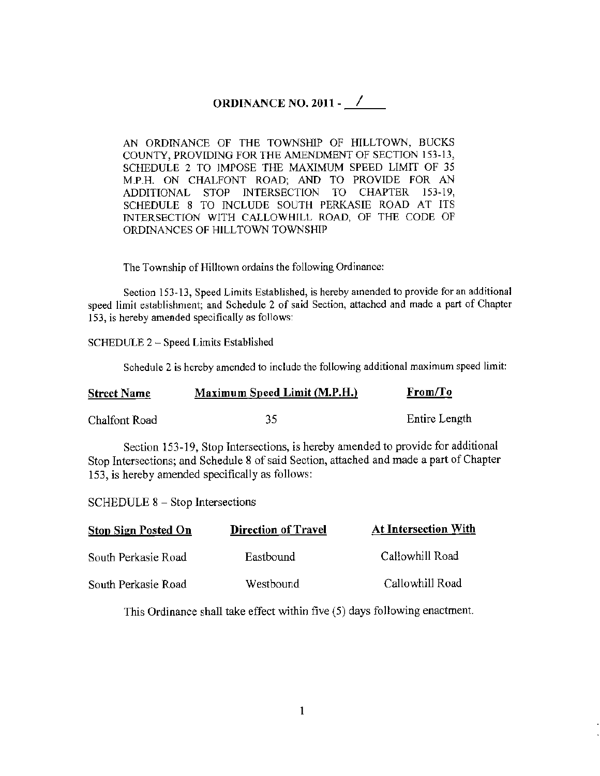## ORDINANCE NO. 2011 - <u>/</u>

AN ORDINANCE OF THE TOWNSHIP OF HILLTOWN, BUCKS COUNTY, PROVIDING FOR THE AMENDMENT OF SECTION 153-13, SCHEDULE 2 TO IMPOSE THE MAXIMUM SPEED LIMIT OF 35 M.P.H. ON CHALFONT ROAD; AND TO PROVIDE FOR AN ADDITIONAL STOP INTERSECTION TO CHAPTER 153-19, SCHEDULE 8 TO INCLUDE SOUTH PERKASIE ROAD AT ITS INTERSECTION WITH CALLOWHILL ROAD, OF THE CODE OF ORDINANCES OF HILLTOWN TOWNSHIP

The Township of Hilltown ordains the following Ordinance:

Section 153-13, Speed Limits Established, is hereby amended to provide for an additional speed limit establishment; and Schedule 2 of said Section, attached and made a part of Chapter 153, is hereby amended specifically as follows:

SCHEDULE 2 - Speed Limits Established

Schedule 2 is hereby amended to include the following additional maximum speed limit:

| <b>Street Name</b> | Maximum Speed Limit (M.P.H.) | From/To       |
|--------------------|------------------------------|---------------|
| Chalfont Road      | 35                           | Entire Length |

Section 153-19, Stop Intersections, is hereby amended to provide for additional Stop Intersections; and Schedule 8 of said Section, attached and made a part of Chapter 153, is hereby amended specifically as follows:

SCHEDULE 8 - Stop Intersections

| <b>Stop Sign Posted On</b> | <b>Direction of Travel</b> | <b>At Intersection With</b> |  |
|----------------------------|----------------------------|-----------------------------|--|
| South Perkasie Road        | Eastbound                  | Callowhill Road             |  |
| South Perkasie Road        | Westbound                  | Callowhill Road             |  |

This Ordinance shall take effect within five (5) days following enactment.